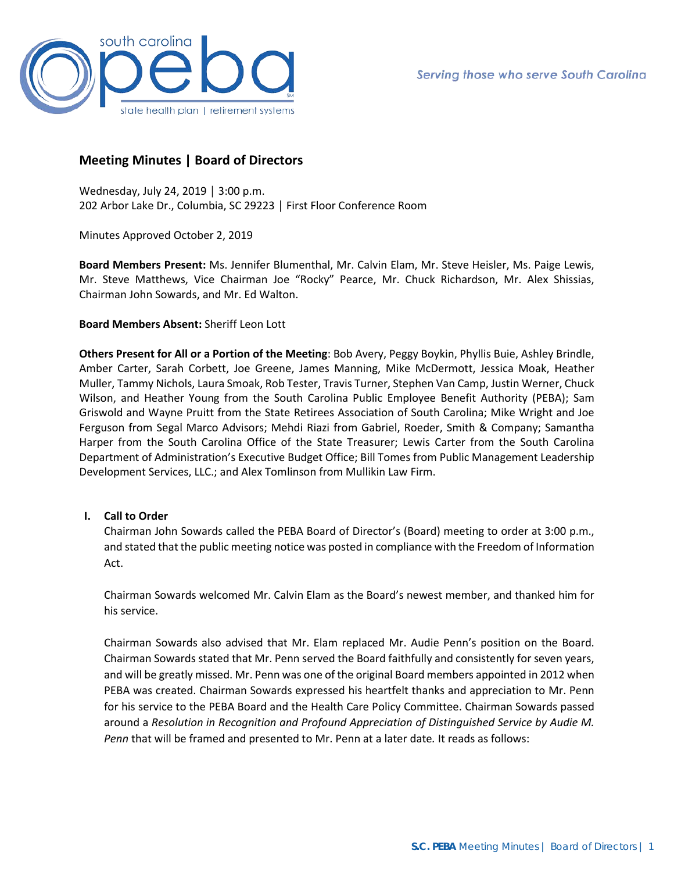

# **Meeting Minutes | Board of Directors**

Wednesday, July 24, 2019 │ 3:00 p.m. 202 Arbor Lake Dr., Columbia, SC 29223 │ First Floor Conference Room

Minutes Approved October 2, 2019

**Board Members Present:** Ms. Jennifer Blumenthal, Mr. Calvin Elam, Mr. Steve Heisler, Ms. Paige Lewis, Mr. Steve Matthews, Vice Chairman Joe "Rocky" Pearce, Mr. Chuck Richardson, Mr. Alex Shissias, Chairman John Sowards, and Mr. Ed Walton.

# **Board Members Absent:** Sheriff Leon Lott

**Others Present for All or a Portion of the Meeting**: Bob Avery, Peggy Boykin, Phyllis Buie, Ashley Brindle, Amber Carter, Sarah Corbett, Joe Greene, James Manning, Mike McDermott, Jessica Moak, Heather Muller, Tammy Nichols, Laura Smoak, Rob Tester, Travis Turner, Stephen Van Camp, Justin Werner, Chuck Wilson, and Heather Young from the South Carolina Public Employee Benefit Authority (PEBA); Sam Griswold and Wayne Pruitt from the State Retirees Association of South Carolina; Mike Wright and Joe Ferguson from Segal Marco Advisors; Mehdi Riazi from Gabriel, Roeder, Smith & Company; Samantha Harper from the South Carolina Office of the State Treasurer; Lewis Carter from the South Carolina Department of Administration's Executive Budget Office; Bill Tomes from Public Management Leadership Development Services, LLC.; and Alex Tomlinson from Mullikin Law Firm.

### **I. Call to Order**

Chairman John Sowards called the PEBA Board of Director's (Board) meeting to order at 3:00 p.m., and stated that the public meeting notice was posted in compliance with the Freedom of Information Act.

Chairman Sowards welcomed Mr. Calvin Elam as the Board's newest member, and thanked him for his service.

Chairman Sowards also advised that Mr. Elam replaced Mr. Audie Penn's position on the Board. Chairman Sowards stated that Mr. Penn served the Board faithfully and consistently for seven years, and will be greatly missed. Mr. Penn was one of the original Board members appointed in 2012 when PEBA was created. Chairman Sowards expressed his heartfelt thanks and appreciation to Mr. Penn for his service to the PEBA Board and the Health Care Policy Committee. Chairman Sowards passed around a *Resolution in Recognition and Profound Appreciation of Distinguished Service by Audie M. Penn* that will be framed and presented to Mr. Penn at a later date*.* It reads as follows: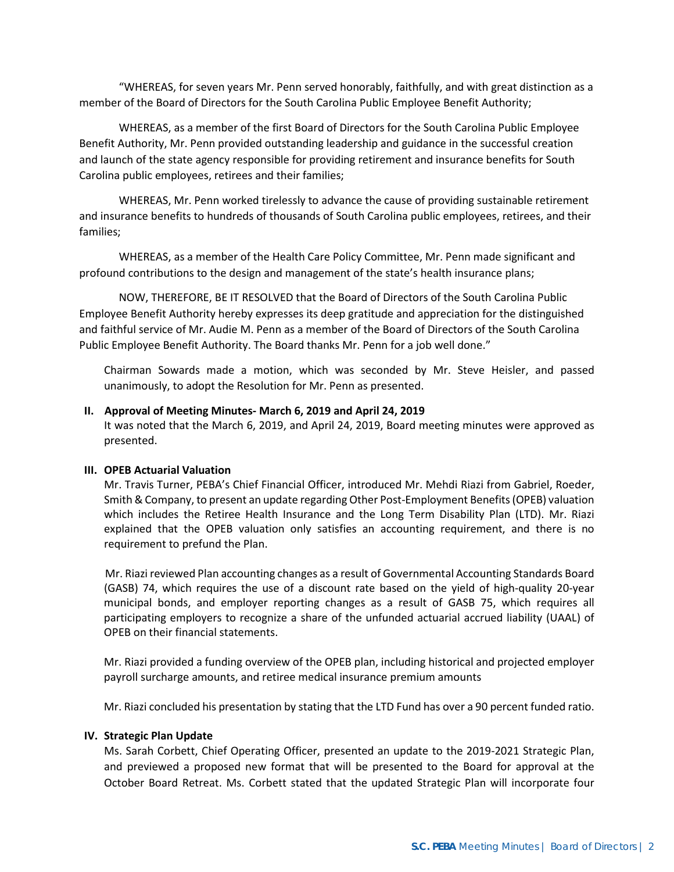"WHEREAS, for seven years Mr. Penn served honorably, faithfully, and with great distinction as a member of the Board of Directors for the South Carolina Public Employee Benefit Authority;

WHEREAS, as a member of the first Board of Directors for the South Carolina Public Employee Benefit Authority, Mr. Penn provided outstanding leadership and guidance in the successful creation and launch of the state agency responsible for providing retirement and insurance benefits for South Carolina public employees, retirees and their families;

WHEREAS, Mr. Penn worked tirelessly to advance the cause of providing sustainable retirement and insurance benefits to hundreds of thousands of South Carolina public employees, retirees, and their families;

WHEREAS, as a member of the Health Care Policy Committee, Mr. Penn made significant and profound contributions to the design and management of the state's health insurance plans;

NOW, THEREFORE, BE IT RESOLVED that the Board of Directors of the South Carolina Public Employee Benefit Authority hereby expresses its deep gratitude and appreciation for the distinguished and faithful service of Mr. Audie M. Penn as a member of the Board of Directors of the South Carolina Public Employee Benefit Authority. The Board thanks Mr. Penn for a job well done."

Chairman Sowards made a motion, which was seconded by Mr. Steve Heisler, and passed unanimously, to adopt the Resolution for Mr. Penn as presented.

# **II. Approval of Meeting Minutes- March 6, 2019 and April 24, 2019**

It was noted that the March 6, 2019, and April 24, 2019, Board meeting minutes were approved as presented.

### **III. OPEB Actuarial Valuation**

Mr. Travis Turner, PEBA's Chief Financial Officer, introduced Mr. Mehdi Riazi from Gabriel, Roeder, Smith & Company, to present an update regarding Other Post-Employment Benefits (OPEB) valuation which includes the Retiree Health Insurance and the Long Term Disability Plan (LTD). Mr. Riazi explained that the OPEB valuation only satisfies an accounting requirement, and there is no requirement to prefund the Plan.

 Mr. Riazi reviewed Plan accounting changes as a result of Governmental Accounting Standards Board (GASB) 74, which requires the use of a discount rate based on the yield of high-quality 20-year municipal bonds, and employer reporting changes as a result of GASB 75, which requires all participating employers to recognize a share of the unfunded actuarial accrued liability (UAAL) of OPEB on their financial statements.

Mr. Riazi provided a funding overview of the OPEB plan, including historical and projected employer payroll surcharge amounts, and retiree medical insurance premium amounts

Mr. Riazi concluded his presentation by stating that the LTD Fund has over a 90 percent funded ratio.

#### **IV. Strategic Plan Update**

Ms. Sarah Corbett, Chief Operating Officer, presented an update to the 2019-2021 Strategic Plan, and previewed a proposed new format that will be presented to the Board for approval at the October Board Retreat. Ms. Corbett stated that the updated Strategic Plan will incorporate four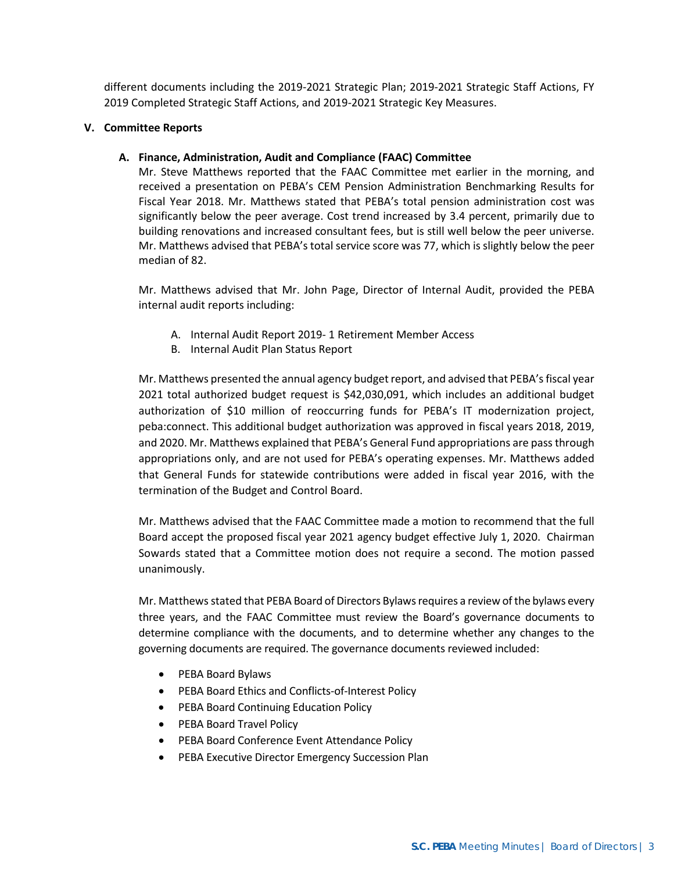different documents including the 2019-2021 Strategic Plan; 2019-2021 Strategic Staff Actions, FY 2019 Completed Strategic Staff Actions, and 2019-2021 Strategic Key Measures.

# **V. Committee Reports**

# **A. Finance, Administration, Audit and Compliance (FAAC) Committee**

Mr. Steve Matthews reported that the FAAC Committee met earlier in the morning, and received a presentation on PEBA's CEM Pension Administration Benchmarking Results for Fiscal Year 2018. Mr. Matthews stated that PEBA's total pension administration cost was significantly below the peer average. Cost trend increased by 3.4 percent, primarily due to building renovations and increased consultant fees, but is still well below the peer universe. Mr. Matthews advised that PEBA's total service score was 77, which is slightly below the peer median of 82.

Mr. Matthews advised that Mr. John Page, Director of Internal Audit, provided the PEBA internal audit reports including:

- A. Internal Audit Report 2019- 1 Retirement Member Access
- B. Internal Audit Plan Status Report

Mr. Matthews presented the annual agency budget report, and advised that PEBA's fiscal year 2021 total authorized budget request is \$42,030,091, which includes an additional budget authorization of \$10 million of reoccurring funds for PEBA's IT modernization project, peba:connect. This additional budget authorization was approved in fiscal years 2018, 2019, and 2020. Mr. Matthews explained that PEBA's General Fund appropriations are pass through appropriations only, and are not used for PEBA's operating expenses. Mr. Matthews added that General Funds for statewide contributions were added in fiscal year 2016, with the termination of the Budget and Control Board.

Mr. Matthews advised that the FAAC Committee made a motion to recommend that the full Board accept the proposed fiscal year 2021 agency budget effective July 1, 2020. Chairman Sowards stated that a Committee motion does not require a second. The motion passed unanimously.

Mr. Matthews stated that PEBA Board of Directors Bylaws requires a review of the bylaws every three years, and the FAAC Committee must review the Board's governance documents to determine compliance with the documents, and to determine whether any changes to the governing documents are required. The governance documents reviewed included:

- PEBA Board Bylaws
- PEBA Board Ethics and Conflicts-of-Interest Policy
- PEBA Board Continuing Education Policy
- PEBA Board Travel Policy
- PEBA Board Conference Event Attendance Policy
- PEBA Executive Director Emergency Succession Plan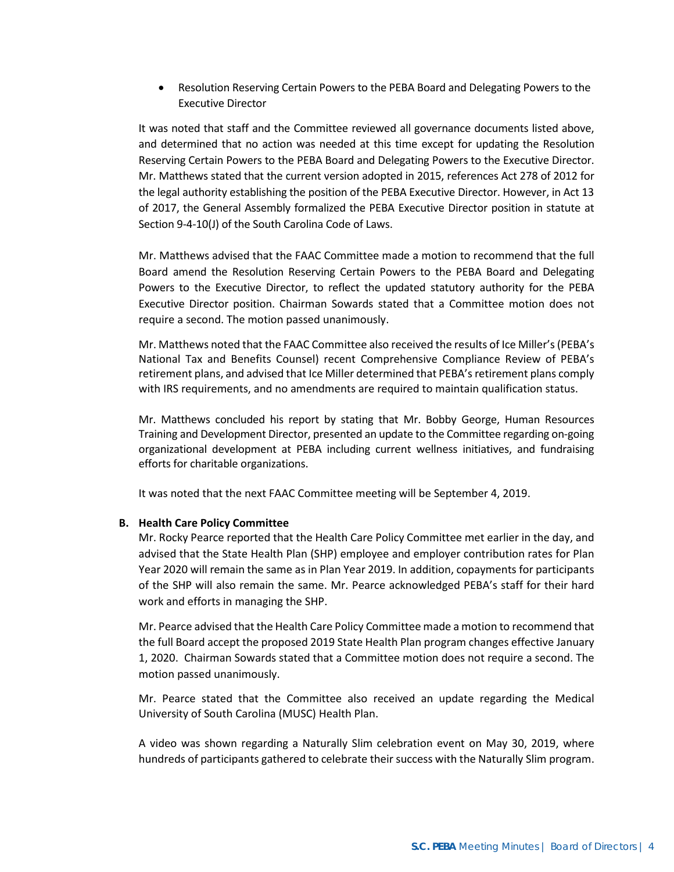• Resolution Reserving Certain Powers to the PEBA Board and Delegating Powers to the Executive Director

It was noted that staff and the Committee reviewed all governance documents listed above, and determined that no action was needed at this time except for updating the Resolution Reserving Certain Powers to the PEBA Board and Delegating Powers to the Executive Director. Mr. Matthews stated that the current version adopted in 2015, references Act 278 of 2012 for the legal authority establishing the position of the PEBA Executive Director. However, in Act 13 of 2017, the General Assembly formalized the PEBA Executive Director position in statute at Section 9-4-10(J) of the South Carolina Code of Laws.

Mr. Matthews advised that the FAAC Committee made a motion to recommend that the full Board amend the Resolution Reserving Certain Powers to the PEBA Board and Delegating Powers to the Executive Director, to reflect the updated statutory authority for the PEBA Executive Director position. Chairman Sowards stated that a Committee motion does not require a second. The motion passed unanimously.

Mr. Matthews noted that the FAAC Committee also received the results of Ice Miller's (PEBA's National Tax and Benefits Counsel) recent Comprehensive Compliance Review of PEBA's retirement plans, and advised that Ice Miller determined that PEBA's retirement plans comply with IRS requirements, and no amendments are required to maintain qualification status.

Mr. Matthews concluded his report by stating that Mr. Bobby George, Human Resources Training and Development Director, presented an update to the Committee regarding on-going organizational development at PEBA including current wellness initiatives, and fundraising efforts for charitable organizations.

It was noted that the next FAAC Committee meeting will be September 4, 2019.

# **B. Health Care Policy Committee**

Mr. Rocky Pearce reported that the Health Care Policy Committee met earlier in the day, and advised that the State Health Plan (SHP) employee and employer contribution rates for Plan Year 2020 will remain the same as in Plan Year 2019. In addition, copayments for participants of the SHP will also remain the same. Mr. Pearce acknowledged PEBA's staff for their hard work and efforts in managing the SHP.

Mr. Pearce advised that the Health Care Policy Committee made a motion to recommend that the full Board accept the proposed 2019 State Health Plan program changes effective January 1, 2020. Chairman Sowards stated that a Committee motion does not require a second. The motion passed unanimously.

Mr. Pearce stated that the Committee also received an update regarding the Medical University of South Carolina (MUSC) Health Plan.

A video was shown regarding a Naturally Slim celebration event on May 30, 2019, where hundreds of participants gathered to celebrate their success with the Naturally Slim program.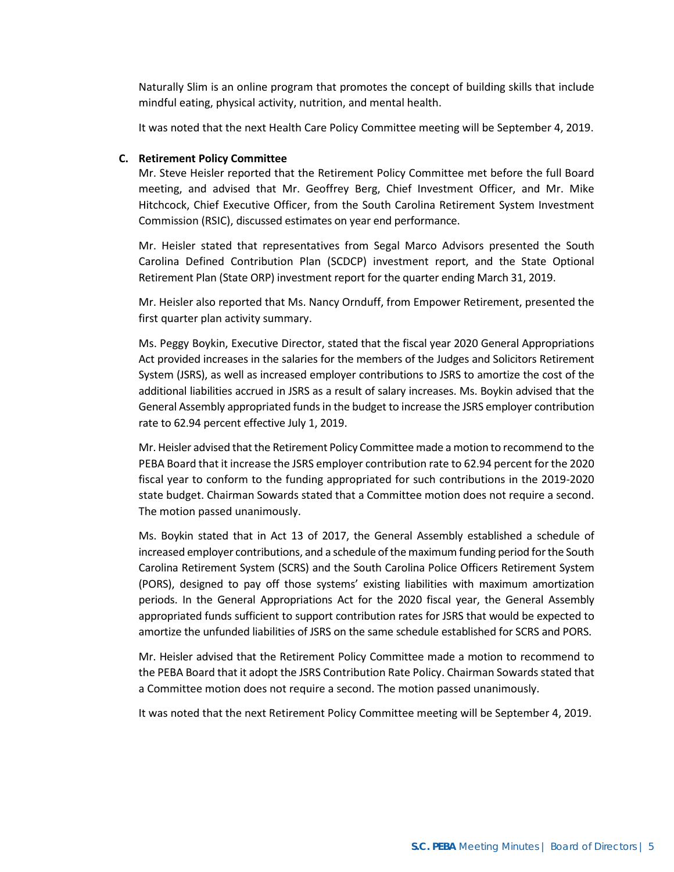Naturally Slim is an online program that promotes the concept of building skills that include mindful eating, physical activity, nutrition, and mental health.

It was noted that the next Health Care Policy Committee meeting will be September 4, 2019.

### **C. Retirement Policy Committee**

Mr. Steve Heisler reported that the Retirement Policy Committee met before the full Board meeting, and advised that Mr. Geoffrey Berg, Chief Investment Officer, and Mr. Mike Hitchcock, Chief Executive Officer, from the South Carolina Retirement System Investment Commission (RSIC), discussed estimates on year end performance.

Mr. Heisler stated that representatives from Segal Marco Advisors presented the South Carolina Defined Contribution Plan (SCDCP) investment report, and the State Optional Retirement Plan (State ORP) investment report for the quarter ending March 31, 2019.

Mr. Heisler also reported that Ms. Nancy Ornduff, from Empower Retirement, presented the first quarter plan activity summary.

Ms. Peggy Boykin, Executive Director, stated that the fiscal year 2020 General Appropriations Act provided increases in the salaries for the members of the Judges and Solicitors Retirement System (JSRS), as well as increased employer contributions to JSRS to amortize the cost of the additional liabilities accrued in JSRS as a result of salary increases. Ms. Boykin advised that the General Assembly appropriated funds in the budget to increase the JSRS employer contribution rate to 62.94 percent effective July 1, 2019.

Mr. Heisler advised that the Retirement Policy Committee made a motion to recommend to the PEBA Board that it increase the JSRS employer contribution rate to 62.94 percent for the 2020 fiscal year to conform to the funding appropriated for such contributions in the 2019-2020 state budget. Chairman Sowards stated that a Committee motion does not require a second. The motion passed unanimously.

Ms. Boykin stated that in Act 13 of 2017, the General Assembly established a schedule of increased employer contributions, and a schedule of the maximum funding period for the South Carolina Retirement System (SCRS) and the South Carolina Police Officers Retirement System (PORS), designed to pay off those systems' existing liabilities with maximum amortization periods. In the General Appropriations Act for the 2020 fiscal year, the General Assembly appropriated funds sufficient to support contribution rates for JSRS that would be expected to amortize the unfunded liabilities of JSRS on the same schedule established for SCRS and PORS.

Mr. Heisler advised that the Retirement Policy Committee made a motion to recommend to the PEBA Board that it adopt the JSRS Contribution Rate Policy. Chairman Sowards stated that a Committee motion does not require a second. The motion passed unanimously.

It was noted that the next Retirement Policy Committee meeting will be September 4, 2019.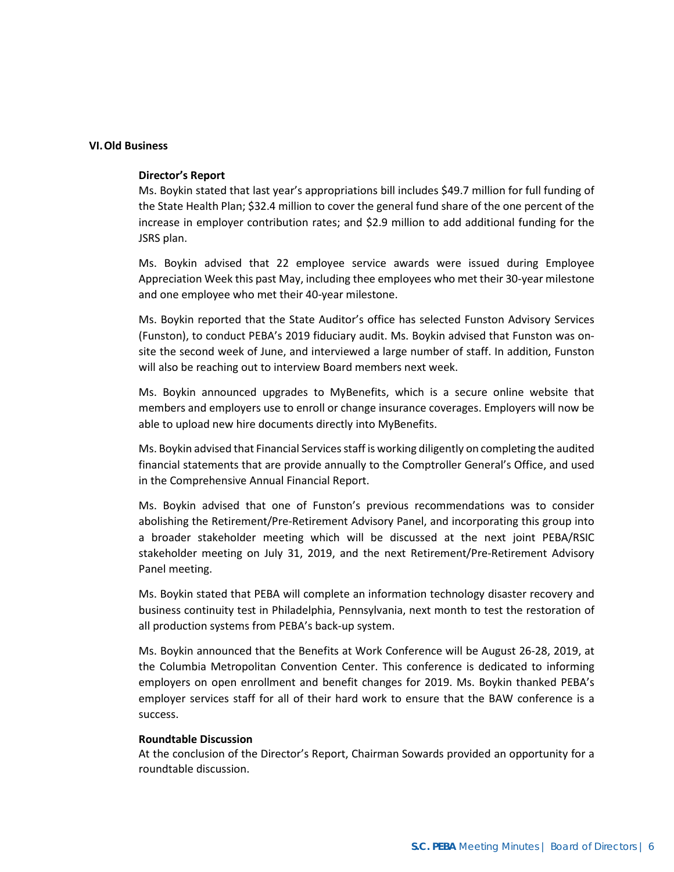### **VI.Old Business**

# **Director's Report**

Ms. Boykin stated that last year's appropriations bill includes \$49.7 million for full funding of the State Health Plan; \$32.4 million to cover the general fund share of the one percent of the increase in employer contribution rates; and \$2.9 million to add additional funding for the JSRS plan.

Ms. Boykin advised that 22 employee service awards were issued during Employee Appreciation Week this past May, including thee employees who met their 30-year milestone and one employee who met their 40-year milestone.

Ms. Boykin reported that the State Auditor's office has selected Funston Advisory Services (Funston), to conduct PEBA's 2019 fiduciary audit. Ms. Boykin advised that Funston was onsite the second week of June, and interviewed a large number of staff. In addition, Funston will also be reaching out to interview Board members next week.

Ms. Boykin announced upgrades to MyBenefits, which is a secure online website that members and employers use to enroll or change insurance coverages. Employers will now be able to upload new hire documents directly into MyBenefits.

Ms. Boykin advised that Financial Services staff is working diligently on completing the audited financial statements that are provide annually to the Comptroller General's Office, and used in the Comprehensive Annual Financial Report.

Ms. Boykin advised that one of Funston's previous recommendations was to consider abolishing the Retirement/Pre-Retirement Advisory Panel, and incorporating this group into a broader stakeholder meeting which will be discussed at the next joint PEBA/RSIC stakeholder meeting on July 31, 2019, and the next Retirement/Pre-Retirement Advisory Panel meeting.

Ms. Boykin stated that PEBA will complete an information technology disaster recovery and business continuity test in Philadelphia, Pennsylvania, next month to test the restoration of all production systems from PEBA's back-up system.

Ms. Boykin announced that the Benefits at Work Conference will be August 26-28, 2019, at the Columbia Metropolitan Convention Center. This conference is dedicated to informing employers on open enrollment and benefit changes for 2019. Ms. Boykin thanked PEBA's employer services staff for all of their hard work to ensure that the BAW conference is a success.

#### **Roundtable Discussion**

At the conclusion of the Director's Report, Chairman Sowards provided an opportunity for a roundtable discussion.